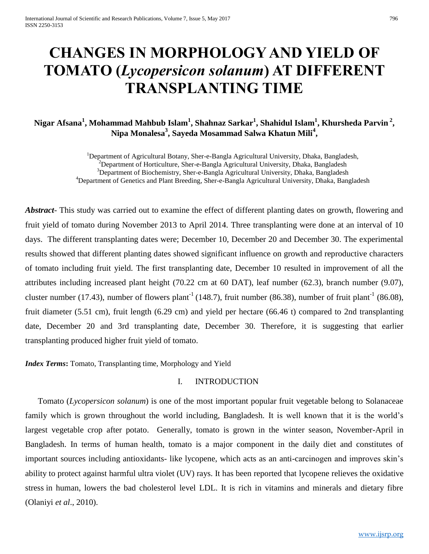# **CHANGES IN MORPHOLOGY AND YIELD OF TOMATO (***Lycopersicon solanum***) AT DIFFERENT TRANSPLANTING TIME**

## **Nigar Afsana<sup>1</sup> , Mohammad Mahbub Islam<sup>1</sup> , Shahnaz Sarkar<sup>1</sup> , Shahidul Islam<sup>1</sup> , Khursheda Parvin <sup>2</sup> , Nipa Monalesa<sup>3</sup> , Sayeda Mosammad Salwa Khatun Mili<sup>4</sup> ,**

<sup>1</sup>Department of Agricultural Botany, Sher-e-Bangla Agricultural University, Dhaka, Bangladesh, <sup>2</sup>Department of Horticulture, Sher-e-Bangla Agricultural University, Dhaka, Bangladesh <sup>3</sup>Department of Biochemistry, Sher-e-Bangla Agricultural University, Dhaka, Bangladesh <sup>4</sup>Department of Genetics and Plant Breeding, Sher-e-Bangla Agricultural University, Dhaka, Bangladesh

*Abstract*- This study was carried out to examine the effect of different planting dates on growth, flowering and fruit yield of tomato during November 2013 to April 2014. Three transplanting were done at an interval of 10 days. The different transplanting dates were; December 10, December 20 and December 30. The experimental results showed that different planting dates showed significant influence on growth and reproductive characters of tomato including fruit yield. The first transplanting date, December 10 resulted in improvement of all the attributes including increased plant height (70.22 cm at 60 DAT), leaf number (62.3), branch number (9.07), cluster number (17.43), number of flowers plant<sup>-1</sup> (148.7), fruit number (86.38), number of fruit plant<sup>-1</sup> (86.08), fruit diameter (5.51 cm), fruit length (6.29 cm) and yield per hectare (66.46 t) compared to 2nd transplanting date, December 20 and 3rd transplanting date, December 30. Therefore, it is suggesting that earlier transplanting produced higher fruit yield of tomato.

*Index Terms*: Tomato, Transplanting time, Morphology and Yield

#### I. INTRODUCTION

Tomato (*Lycopersicon solanum*) is one of the most important popular fruit vegetable belong to Solanaceae family which is grown throughout the world including, Bangladesh. It is well known that it is the world's largest vegetable crop after potato. Generally, tomato is grown in the winter season, November-April in Bangladesh. In terms of human health, tomato is a major component in the daily diet and constitutes of important sources including antioxidants- like lycopene, which acts as an anti-carcinogen and improves skin's ability to protect against harmful ultra violet (UV) rays. It has been reported that lycopene relieves the oxidative stress in human, lowers the bad cholesterol level LDL. It is rich in vitamins and minerals and dietary fibre (Olaniyi *et al*., 2010).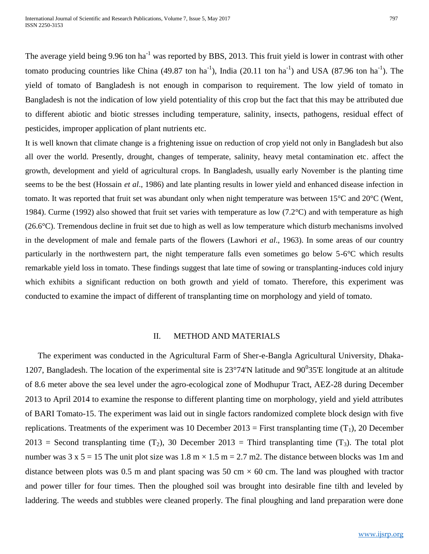The average yield being 9.96 ton ha<sup>-1</sup> was reported by BBS, 2013. This fruit yield is lower in contrast with other tomato producing countries like China (49.87 ton ha<sup>-1</sup>), India (20.11 ton ha<sup>-1</sup>) and USA (87.96 ton ha<sup>-1</sup>). The yield of tomato of Bangladesh is not enough in comparison to requirement. The low yield of tomato in Bangladesh is not the indication of low yield potentiality of this crop but the fact that this may be attributed due to different abiotic and biotic stresses including temperature, salinity, insects, pathogens, residual effect of pesticides, improper application of plant nutrients etc.

It is well known that climate change is a frightening issue on reduction of crop yield not only in Bangladesh but also all over the world. Presently, drought, changes of temperate, salinity, heavy metal contamination etc. affect the growth, development and yield of agricultural crops. In Bangladesh, usually early November is the planting time seems to be the best (Hossain *et al*., 1986) and late planting results in lower yield and enhanced disease infection in tomato. It was reported that fruit set was abundant only when night temperature was between 15°C and 20°C (Went, 1984). Curme (1992) also showed that fruit set varies with temperature as low (7.2 $\degree$ C) and with temperature as high (26.6°C). Tremendous decline in fruit set due to high as well as low temperature which disturb mechanisms involved in the development of male and female parts of the flowers (Lawhori *et al*., 1963). In some areas of our country particularly in the northwestern part, the night temperature falls even sometimes go below 5-6°C which results remarkable yield loss in tomato. These findings suggest that late time of sowing or transplanting-induces cold injury which exhibits a significant reduction on both growth and yield of tomato. Therefore, this experiment was conducted to examine the impact of different of transplanting time on morphology and yield of tomato.

#### II. METHOD AND MATERIALS

The experiment was conducted in the Agricultural Farm of Sher-e-Bangla Agricultural University, Dhaka-1207, Bangladesh. The location of the experimental site is  $23^{\circ}74'N$  latitude and  $90^{\circ}35'E$  longitude at an altitude of 8.6 meter above the sea level under the agro-ecological zone of Modhupur Tract, AEZ-28 during December 2013 to April 2014 to examine the response to different planting time on morphology, yield and yield attributes of BARI Tomato-15. The experiment was laid out in single factors randomized complete block design with five replications. Treatments of the experiment was 10 December 2013 = First transplanting time  $(T_1)$ , 20 December 2013 = Second transplanting time  $(T_2)$ , 30 December 2013 = Third transplanting time  $(T_3)$ . The total plot number was  $3 \times 5 = 15$  The unit plot size was  $1.8 \text{ m} \times 1.5 \text{ m} = 2.7 \text{ m}$ . The distance between blocks was 1m and distance between plots was 0.5 m and plant spacing was 50 cm  $\times$  60 cm. The land was ploughed with tractor and power tiller for four times. Then the ploughed soil was brought into desirable fine tilth and leveled by laddering. The weeds and stubbles were cleaned properly. The final ploughing and land preparation were done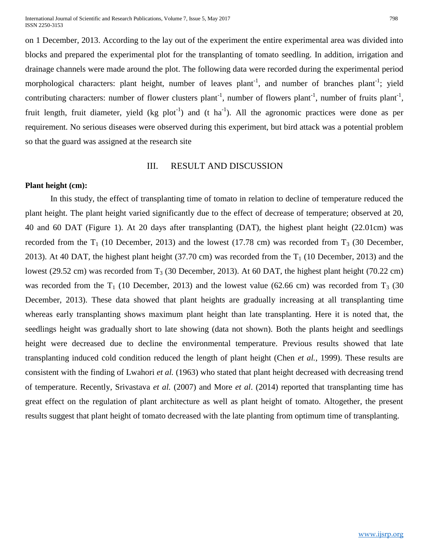International Journal of Scientific and Research Publications, Volume 7, Issue 5, May 2017 ISSN 2250-3153

on 1 December, 2013. According to the lay out of the experiment the entire experimental area was divided into blocks and prepared the experimental plot for the transplanting of tomato seedling. In addition, irrigation and drainage channels were made around the plot. The following data were recorded during the experimental period morphological characters: plant height, number of leaves plant<sup>-1</sup>, and number of branches plant<sup>-1</sup>; yield contributing characters: number of flower clusters plant<sup>-1</sup>, number of flowers plant<sup>-1</sup>, number of fruits plant<sup>-1</sup>, fruit length, fruit diameter, yield (kg plot<sup>-1</sup>) and (t ha<sup>-1</sup>). All the agronomic practices were done as per requirement. No serious diseases were observed during this experiment, but bird attack was a potential problem so that the guard was assigned at the research site

## III. RESULT AND DISCUSSION

#### **Plant height (cm):**

In this study, the effect of transplanting time of tomato in relation to decline of temperature reduced the plant height. The plant height varied significantly due to the effect of decrease of temperature; observed at 20, 40 and 60 DAT (Figure 1). At 20 days after transplanting (DAT), the highest plant height (22.01cm) was recorded from the  $T_1$  (10 December, 2013) and the lowest (17.78 cm) was recorded from  $T_3$  (30 December, 2013). At 40 DAT, the highest plant height (37.70 cm) was recorded from the  $T_1$  (10 December, 2013) and the lowest (29.52 cm) was recorded from  $T_3$  (30 December, 2013). At 60 DAT, the highest plant height (70.22 cm) was recorded from the  $T_1$  (10 December, 2013) and the lowest value (62.66 cm) was recorded from  $T_3$  (30 December, 2013). These data showed that plant heights are gradually increasing at all transplanting time whereas early transplanting shows maximum plant height than late transplanting. Here it is noted that, the seedlings height was gradually short to late showing (data not shown). Both the plants height and seedlings height were decreased due to decline the environmental temperature. Previous results showed that late transplanting induced cold condition reduced the length of plant height (Chen *et al.,* 1999). These results are consistent with the finding of Lwahori *et al.* (1963) who stated that plant height decreased with decreasing trend of temperature. Recently, Srivastava *et al.* (2007) and More *et al*. (2014) reported that transplanting time has great effect on the regulation of plant architecture as well as plant height of tomato. Altogether, the present results suggest that plant height of tomato decreased with the late planting from optimum time of transplanting.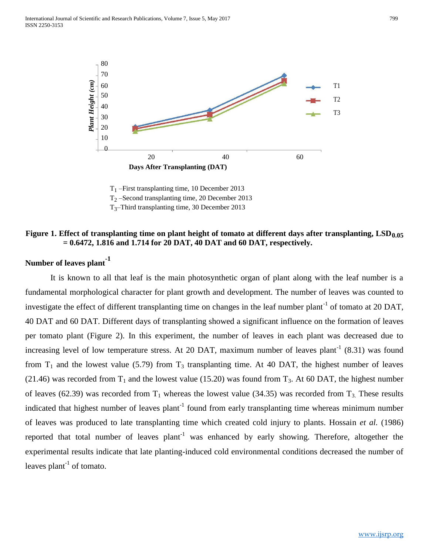

 $T_1$  –First transplanting time, 10 December 2013 T<sup>2</sup> –Second transplanting time, 20 December 2013

T3–Third transplanting time, 30 December 2013

## **Figure 1. Effect of transplanting time on plant height of tomato at different days after transplanting, LSD0.05 = 0.6472, 1.816 and 1.714 for 20 DAT, 40 DAT and 60 DAT, respectively.**

## **Number of leaves plant-1**

It is known to all that leaf is the main photosynthetic organ of plant along with the leaf number is a fundamental morphological character for plant growth and development. The number of leaves was counted to investigate the effect of different transplanting time on changes in the leaf number plant<sup>-1</sup> of tomato at 20 DAT, 40 DAT and 60 DAT. Different days of transplanting showed a significant influence on the formation of leaves per tomato plant (Figure 2). In this experiment, the number of leaves in each plant was decreased due to increasing level of low temperature stress. At 20 DAT, maximum number of leaves plant<sup>-1</sup> (8.31) was found from  $T_1$  and the lowest value (5.79) from  $T_3$  transplanting time. At 40 DAT, the highest number of leaves (21.46) was recorded from  $T_1$  and the lowest value (15.20) was found from  $T_3$ . At 60 DAT, the highest number of leaves (62.39) was recorded from  $T_1$  whereas the lowest value (34.35) was recorded from  $T_3$ . These results indicated that highest number of leaves plant<sup>-1</sup> found from early transplanting time whereas minimum number of leaves was produced to late transplanting time which created cold injury to plants. Hossain *et al.* (1986) reported that total number of leaves plant<sup>-1</sup> was enhanced by early showing. Therefore, altogether the experimental results indicate that late planting-induced cold environmental conditions decreased the number of leaves  $plant^{-1}$  of tomato.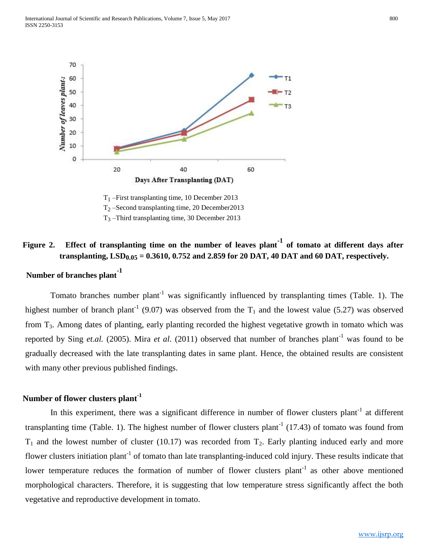

 $T_1$  –First transplanting time, 10 December 2013 T<sup>2</sup> –Second transplanting time, 20 December2013

T<sup>3</sup> –Third transplanting time, 30 December 2013

## **Figure 2. Effect of transplanting time on the number of leaves plant-1 of tomato at different days after transplanting, LSD0.05 = 0.3610, 0.752 and 2.859 for 20 DAT, 40 DAT and 60 DAT, respectively.**

## **Number of branches plant-1**

Tomato branches number plant<sup>-1</sup> was significantly influenced by transplanting times (Table. 1). The highest number of branch plant<sup>-1</sup> (9.07) was observed from the  $T_1$  and the lowest value (5.27) was observed from T3. Among dates of planting, early planting recorded the highest vegetative growth in tomato which was reported by Sing *et.al.* (2005). Mira *et al.* (2011) observed that number of branches plant<sup>-1</sup> was found to be gradually decreased with the late transplanting dates in same plant. Hence, the obtained results are consistent with many other previous published findings.

## **Number of flower clusters plant-1**

In this experiment, there was a significant difference in number of flower clusters plant<sup>-1</sup> at different transplanting time (Table. 1). The highest number of flower clusters plant<sup>-1</sup> (17.43) of tomato was found from  $T_1$  and the lowest number of cluster (10.17) was recorded from  $T_2$ . Early planting induced early and more flower clusters initiation plant<sup>-1</sup> of tomato than late transplanting-induced cold injury. These results indicate that lower temperature reduces the formation of number of flower clusters plant<sup>-1</sup> as other above mentioned morphological characters. Therefore, it is suggesting that low temperature stress significantly affect the both vegetative and reproductive development in tomato.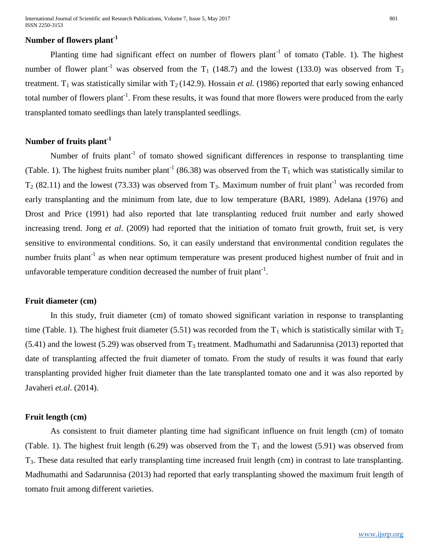## **Number of flowers plant-1**

Planting time had significant effect on number of flowers plant<sup>-1</sup> of tomato (Table. 1). The highest number of flower plant<sup>-1</sup> was observed from the  $T_1$  (148.7) and the lowest (133.0) was observed from  $T_3$ treatment. T<sub>1</sub> was statistically similar with T<sub>2</sub> (142.9). Hossain *et al.* (1986) reported that early sowing enhanced total number of flowers plant<sup>-1</sup>. From these results, it was found that more flowers were produced from the early transplanted tomato seedlings than lately transplanted seedlings.

## **Number of fruits plant-1**

Number of fruits plant<sup>-1</sup> of tomato showed significant differences in response to transplanting time (Table. 1). The highest fruits number plant<sup>-1</sup> (86.38) was observed from the  $T_1$  which was statistically similar to  $T_2$  (82.11) and the lowest (73.33) was observed from  $T_3$ . Maximum number of fruit plant<sup>-1</sup> was recorded from early transplanting and the minimum from late, due to low temperature (BARI, 1989). Adelana (1976) and Drost and Price (1991) had also reported that late transplanting reduced fruit number and early showed increasing trend. Jong *et al*. (2009) had reported that the initiation of tomato fruit growth, fruit set, is very sensitive to environmental conditions. So, it can easily understand that environmental condition regulates the number fruits plant<sup>-1</sup> as when near optimum temperature was present produced highest number of fruit and in unfavorable temperature condition decreased the number of fruit plant<sup>-1</sup>.

#### **Fruit diameter (cm)**

In this study, fruit diameter (cm) of tomato showed significant variation in response to transplanting time (Table. 1). The highest fruit diameter (5.51) was recorded from the  $T_1$  which is statistically similar with  $T_2$  $(5.41)$  and the lowest (5.29) was observed from T<sub>3</sub> treatment. Madhumathi and Sadarunnisa (2013) reported that date of transplanting affected the fruit diameter of tomato. From the study of results it was found that early transplanting provided higher fruit diameter than the late transplanted tomato one and it was also reported by Javaheri *et.al*. (2014).

#### **Fruit length (cm)**

As consistent to fruit diameter planting time had significant influence on fruit length (cm) of tomato (Table. 1). The highest fruit length (6.29) was observed from the  $T_1$  and the lowest (5.91) was observed from T3. These data resulted that early transplanting time increased fruit length (cm) in contrast to late transplanting. Madhumathi and Sadarunnisa (2013) had reported that early transplanting showed the maximum fruit length of tomato fruit among different varieties.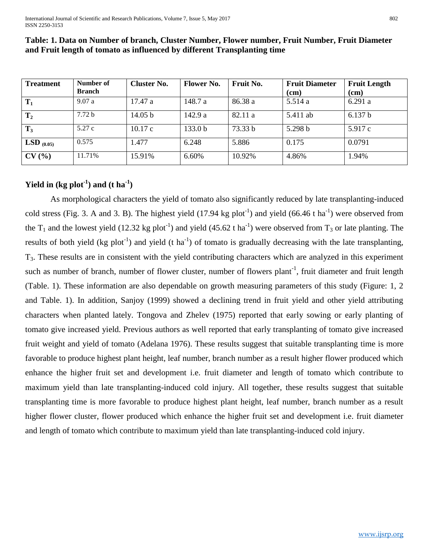| <b>Treatment</b> | Number of         | <b>Cluster No.</b> | <b>Flower No.</b>  | Fruit No. | <b>Fruit Diameter</b> | <b>Fruit Length</b> |
|------------------|-------------------|--------------------|--------------------|-----------|-----------------------|---------------------|
|                  | <b>Branch</b>     |                    |                    |           | (cm)                  | (cm)                |
| $T_1$            | 9.07a             | 17.47 a            | 148.7 a            | 86.38 a   | 5.514a                | 6.291a              |
| $\mathbf{T}_2$   | 7.72 <sub>b</sub> | 14.05 b            | 142.9a             | 82.11 a   | 5.411 ab              | 6.137 b             |
| $T_3$            | 5.27c             | 10.17c             | 133.0 <sub>b</sub> | 73.33 b   | 5.298 b               | 5.917c              |
| LSD $_{(0.05)}$  | 0.575             | .477               | 6.248              | 5.886     | 0.175                 | 0.0791              |
| CV(%)            | 11.71%            | 15.91%             | 6.60%              | 10.92%    | 4.86%                 | 1.94%               |

## **Table: 1. Data on Number of branch, Cluster Number, Flower number, Fruit Number, Fruit Diameter and Fruit length of tomato as influenced by different Transplanting time**

## **Yield in** (kg plot<sup>-1</sup>) and (t ha<sup>-1</sup>)

As morphological characters the yield of tomato also significantly reduced by late transplanting-induced cold stress (Fig. 3. A and 3. B). The highest yield  $(17.94 \text{ kg plot}^{-1})$  and yield  $(66.46 \text{ t ha}^{-1})$  were observed from the  $T_1$  and the lowest yield (12.32 kg plot<sup>-1</sup>) and yield (45.62 t ha<sup>-1</sup>) were observed from  $T_3$  or late planting. The results of both yield (kg plot<sup>-1</sup>) and yield (t ha<sup>-1</sup>) of tomato is gradually decreasing with the late transplanting, T3. These results are in consistent with the yield contributing characters which are analyzed in this experiment such as number of branch, number of flower cluster, number of flowers plant<sup>-1</sup>, fruit diameter and fruit length (Table. 1). These information are also dependable on growth measuring parameters of this study (Figure: 1, 2 and Table. 1). In addition, Sanjoy (1999) showed a declining trend in fruit yield and other yield attributing characters when planted lately. Tongova and Zhelev (1975) reported that early sowing or early planting of tomato give increased yield. Previous authors as well reported that early transplanting of tomato give increased fruit weight and yield of tomato (Adelana 1976). These results suggest that suitable transplanting time is more favorable to produce highest plant height, leaf number, branch number as a result higher flower produced which enhance the higher fruit set and development i.e. fruit diameter and length of tomato which contribute to maximum yield than late transplanting-induced cold injury. All together, these results suggest that suitable transplanting time is more favorable to produce highest plant height, leaf number, branch number as a result higher flower cluster, flower produced which enhance the higher fruit set and development i.e. fruit diameter and length of tomato which contribute to maximum yield than late transplanting-induced cold injury.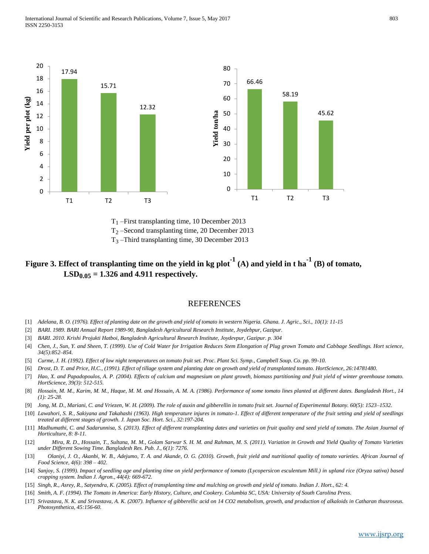

T<sup>2</sup> –Second transplanting time, 20 December 2013

 $T_3$  –Third transplanting time, 30 December 2013

## **Figure 3. Effect of transplanting time on the yield in kg plot-1 (A) and yield in t ha-1 (B) of tomato, LSD0.05 = 1.326 and 4.911 respectively.**

#### REFERENCES

- [1] *Adelana, B. O. (1976). Effect of planting date on the growth and yield of tomato in western Nigeria. Ghana. J. Agric., Sci., 10(1): 11-15*
- [2] *BARI. 1989. BARI Annual Report 1989-90, Bangladesh Agricultural Research Institute, Joydebpur, Gazipur.*
- [3] *BARI. 2010. Krishi Projukti Hatboi, Bangladesh Agricultural Research Institute, Joydevpur, Gazipur. p. 304*
- [4] *Chen, J., Sun, Y. and Sheen, T. (1999). Use of Cold Water for Irrigation Reduces Stem Elongation of Plug grown Tomato and Cabbage Seedlings. Hort science, 34(5):852–854.*
- [5] *Curme, J. H. (1992). Effect of low night temperatures on tomato fruit set. Proc. Plant Sci. Symp., Campbell Soup. Co. pp. 99-10.*
- [6] *Drost, D. T. and Price, H.C., (1991). Effect of tillage system and planting date on growth and yield of transplanted tomato. HortScience, 26:14781480.*
- [7] *Hao, X. and Papadopoulos, A. P. (2004). Effects of calcium and magnesium on plant growth, biomass partitioning and fruit yield of winter greenhouse tomato. HortScience, 39(3): 512-515.*
- [8] *Hossain, M. M., Karim, M. M., Haque, M. M. and Hossain, A. M. A. (1986). Performance of some tomato lines planted at different dates. Bangladesh Hort., 14 (1): 25-28.*
- [9] *Jong, M. D., Mariani, C. and Vriezen, W. H. (2009). The role of auxin and gibberellin in tomato fruit set. Journal of Experimental Botany. 60(5): 1523–1532.*
- [10] *Lawahori, S. R., Sakiyana and Takahashi (1963). High temperature injures in tomato-1. Effect of different temperature of the fruit setting and yield of seedlings treated at different stages of growth. J. Japan Soc. Hort. Sci., 32:197-204.*
- [11] Madhumathi, C. and Sadarunnisa, S. (2013). Effect of different transplanting dates and varieties on fruit quality and seed yield of tomato. The Asian Journal of *Horticulture, 8: 8-11.*
- [12] *Mira, R. D., Hossain, T., Sultana, M. M., Golam Sarwar S. H. M. and Rahman, M. S. (2011). Variation in Growth and Yield Quality of Tomato Varieties under Different Sowing Time. Bangladesh Res. Pub. J., 6(1): 7276.*
- [13] Olaniyi, J. O., Akanbi, W. B., Adejumo, T. A. and Akande, O. G. (2010). Growth, fruit yield and nutritional quality of tomato varieties. African Journal of *Food Science, 4(6): 398 – 402.*
- [14] *Sanjoy, S. (1999). Impact of seedling age and planting time on yield performance of tomato (Lycopersicon esculentum Mill.) in upland rice (Oryza sativa) based cropping system. Indian J. Agron., 44(4): 669-672.*
- [15] *Singh, R., Asrey, R., Satyendra, K. (2005). Effect of transplanting time and mulching on growth and yield of tomato. Indian J. Hort., 62: 4.*
- [16] *Smith, A. F. (1994). The Tomato in America: Early History, Culture, and Cookery. Columbia SC, USA: University of South Carolina Press.*
- [17] *Srivastava, N. K. and Srivastava, A. K. (2007). Influence of gibberellic acid on 14 CO2 metabolism, growth, and production of alkaloids in Catharan thusroseus. Photosynthetica, 45:156-60.*